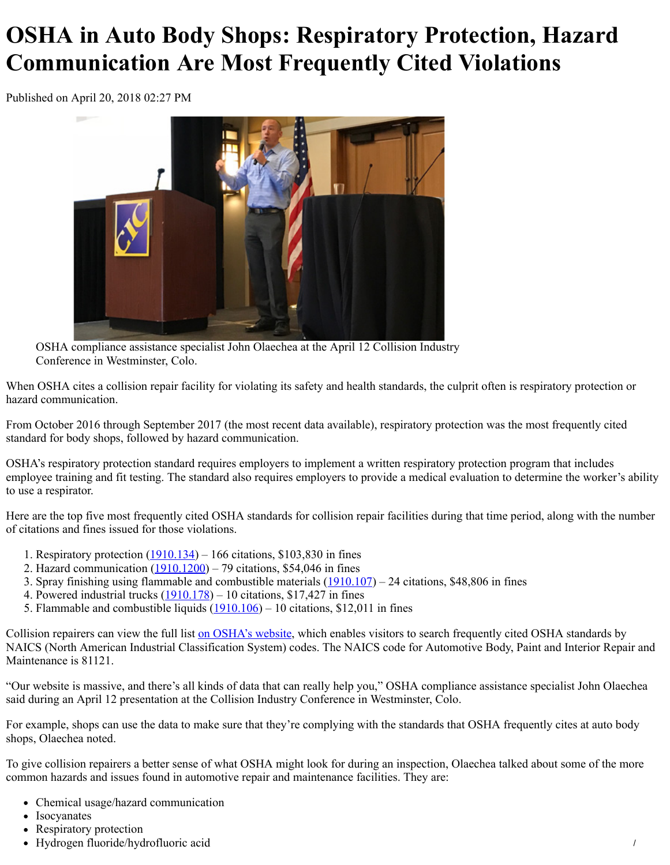# **OSHA in Auto Body Shops: Respiratory Protection, Hazard Communication Are Most Frequently Cited Violations**

Published on April 20, 2018 02:27 PM



OSHA compliance assistance specialist John Olaechea at the April 12 Collision Industry Conference in Westminster, Colo.

When OSHA cites a collision repair facility for violating its safety and health standards, the culprit often is respiratory protection or hazard communication.

From October 2016 through September 2017 (the most recent data available), respiratory protection was the most frequently cited standard for body shops, followed by hazard communication.

OSHA's respiratory protection standard requires employers to implement a written respiratory protection program that includes employee training and fit testing. The standard also requires employers to provide a medical evaluation to determine the worker's ability to use a respirator.

Here are the top five most frequently cited OSHA standards for collision repair facilities during that time period, along with the number of citations and fines issued for those violations.

- 1. Respiratory protection  $(1910.134) 166$  $(1910.134) 166$  $(1910.134) 166$  citations, \$103,830 in fines
- 2. Hazard communication [\(1910.1200\)](https://www.osha.gov/pls/oshaweb/owadisp.show_document?p_table=standards&p_id=10099) 79 citations, \$54,046 in fines
- 3. Spray finishing using flammable and combustible materials  $(1910.107) 24$  $(1910.107) 24$  $(1910.107) 24$  citations, \$48,806 in fines
- 4. Powered industrial trucks ([1910.178\)](https://www.osha.gov/pls/oshaweb/owadisp.show_document?p_table=STANDARDS&p_id=9828) 10 citations, \$17,427 in fines
- 5. Flammable and combustible liquids  $(1910.106) 10$  $(1910.106) 10$  citations, \$12,011 in fines

Collision repairers can view the full list [on OSHA's website,](https://www.osha.gov/pls/imis/citedstandard.naics?p_esize=&p_state=FEFederal&p_naics=811121) which enables visitors to search frequently cited OSHA standards by NAICS (North American Industrial Classification System) codes. The NAICS code for Automotive Body, Paint and Interior Repair and Maintenance is 81121.

"Our website is massive, and there's all kinds of data that can really help you," OSHA compliance assistance specialist John Olaechea said during an April 12 presentation at the Collision Industry Conference in Westminster, Colo.

For example, shops can use the data to make sure that they're complying with the standards that OSHA frequently cites at auto body shops, Olaechea noted.

To give collision repairers a better sense of what OSHA might look for during an inspection, Olaechea talked about some of the more common hazards and issues found in automotive repair and maintenance facilities. They are:

- Chemical usage/hazard communication
- Isocyanates
- Respiratory protection
- Hydrogen fluoride/hydrofluoric acid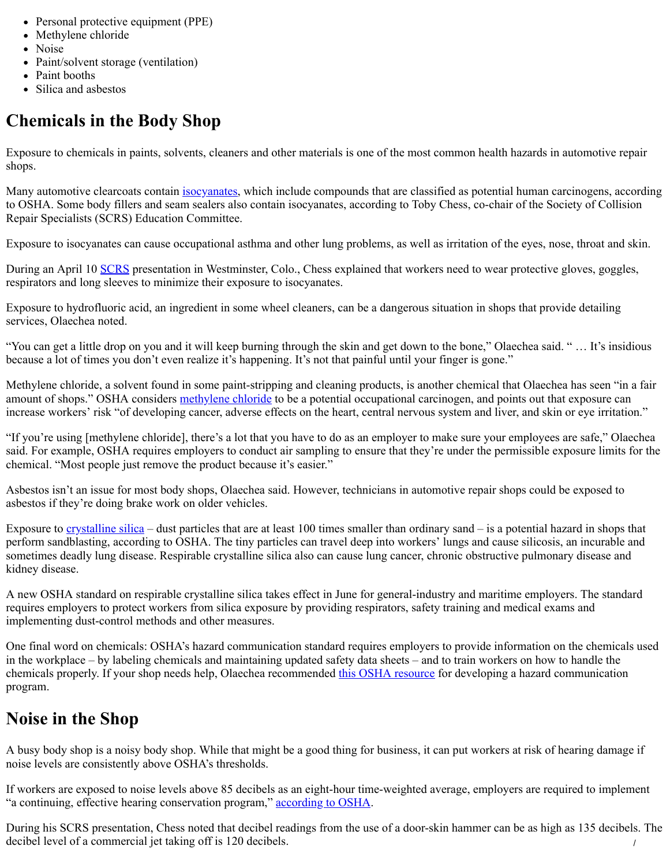- Personal protective equipment (PPE)
- Methylene chloride
- Noise
- Paint/solvent storage (ventilation)
- Paint booths
- Silica and asbestos

### **Chemicals in the Body Shop**

Exposure to chemicals in paints, solvents, cleaners and other materials is one of the most common health hazards in automotive repair shops.

Many automotive clearcoats contain [isocyanates](https://www.osha.gov/SLTC/isocyanates/index.html), which include compounds that are classified as potential human carcinogens, according to OSHA. Some body fillers and seam sealers also contain isocyanates, according to Toby Chess, co-chair of the Society of Collision Repair Specialists (SCRS) Education Committee.

Exposure to isocyanates can cause occupational asthma and other lung problems, as well as irritation of the eyes, nose, throat and skin.

During an April 10 [SCRS](https://scrs.com/) presentation in Westminster, Colo., Chess explained that workers need to wear protective gloves, goggles, respirators and long sleeves to minimize their exposure to isocyanates.

Exposure to hydrofluoric acid, an ingredient in some wheel cleaners, can be a dangerous situation in shops that provide detailing services, Olaechea noted.

"You can get a little drop on you and it will keep burning through the skin and get down to the bone," Olaechea said. " … It's insidious because a lot of times you don't even realize it's happening. It's not that painful until your finger is gone."

Methylene chloride, a solvent found in some paint-stripping and cleaning products, is another chemical that Olaechea has seen "in a fair amount of shops." OSHA considers [methylene chloride](https://www.osha.gov/SLTC/methylenechloride/standards.html) to be a potential occupational carcinogen, and points out that exposure can increase workers' risk "of developing cancer, adverse effects on the heart, central nervous system and liver, and skin or eye irritation."

"If you're using [methylene chloride], there's a lot that you have to do as an employer to make sure your employees are safe," Olaechea said. For example, OSHA requires employers to conduct air sampling to ensure that they're under the permissible exposure limits for the chemical. "Most people just remove the product because it's easier."

Asbestos isn't an issue for most body shops, Olaechea said. However, technicians in automotive repair shops could be exposed to asbestos if they're doing brake work on older vehicles.

Exposure to [crystalline silica](https://www.osha.gov/dsg/topics/silicacrystalline/) – dust particles that are at least 100 times smaller than ordinary sand – is a potential hazard in shops that perform sandblasting, according to OSHA. The tiny particles can travel deep into workers' lungs and cause silicosis, an incurable and sometimes deadly lung disease. Respirable crystalline silica also can cause lung cancer, chronic obstructive pulmonary disease and kidney disease.

A new OSHA standard on respirable crystalline silica takes effect in June for general-industry and maritime employers. The standard requires employers to protect workers from silica exposure by providing respirators, safety training and medical exams and implementing dust-control methods and other measures.

One final word on chemicals: OSHA's hazard communication standard requires employers to provide information on the chemicals used in the workplace – by labeling chemicals and maintaining updated safety data sheets – and to train workers on how to handle the chemicals properly. If your shop needs help, Olaechea recommended [this OSHA resource](https://www.osha.gov/Publications/OSHA3695.pdf) for developing a hazard communication program.

### **Noise in the Shop**

A busy body shop is a noisy body shop. While that might be a good thing for business, it can put workers at risk of hearing damage if noise levels are consistently above OSHA's thresholds.

If workers are exposed to noise levels above 85 decibels as an eight-hour time-weighted average, employers are required to implement "a continuing, effective hearing conservation program," [according to OSHA.](https://www.osha.gov/pls/oshaweb/owadisp.show_document?p_table=STANDARDS&p_id=9735)

/ During his SCRS presentation, Chess noted that decibel readings from the use of a door-skin hammer can be as high as 135 decibels. The decibel level of a commercial jet taking off is 120 decibels.